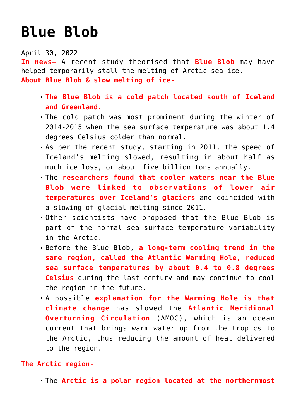## **[Blue Blob](https://journalsofindia.com/blue-blob/)**

April 30, 2022

**In news–** A recent study theorised that **Blue Blob** may have helped temporarily stall the melting of Arctic sea ice. **About Blue Blob & slow melting of ice-**

- **The Blue Blob is a cold patch located south of Iceland and Greenland.**
- The cold patch was most prominent during the winter of 2014-2015 when the sea surface temperature was about 1.4 degrees Celsius colder than normal.
- As per the recent study, starting in 2011, the speed of Iceland's melting slowed, resulting in about half as much ice loss, or about five billion tons annually.
- The **researchers found that cooler waters near the Blue Blob were linked to observations of lower air temperatures over Iceland's glaciers** and coincided with a slowing of glacial melting since 2011.
- Other scientists have proposed that the Blue Blob is part of the normal sea surface temperature variability in the Arctic.
- Before the Blue Blob, **a long-term cooling trend in the same region, called the Atlantic Warming Hole, reduced sea surface temperatures by about 0.4 to 0.8 degrees Celsius** during the last century and may continue to cool the region in the future.
- A possible **explanation for the Warming Hole is that climate change** has slowed the **Atlantic Meridional Overturning Circulation** (AMOC), which is an ocean current that brings warm water up from the tropics to the Arctic, thus reducing the amount of heat delivered to the region.

## **The Arctic region-**

The **Arctic is a polar region located at the northernmost**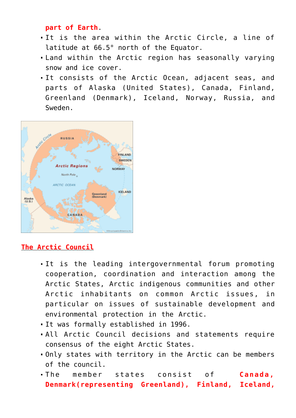## **part of Earth**.

- It is the area within the Arctic Circle, a line of latitude at 66.5° north of the Equator.
- Land within the Arctic region has seasonally varying snow and ice cover.
- It consists of the Arctic Ocean, adjacent seas, and parts of Alaska (United States), Canada, Finland, Greenland (Denmark), Iceland, Norway, Russia, and Sweden.



## **The Arctic Council**

- It is the leading intergovernmental forum promoting cooperation, coordination and interaction among the Arctic States, Arctic indigenous communities and other Arctic inhabitants on common Arctic issues, in particular on issues of sustainable development and environmental protection in the Arctic.
- It was formally established in 1996.
- All Arctic Council decisions and statements require consensus of the eight Arctic States.
- Only states with territory in the Arctic can be members of the council.
- The member states consist of **Canada, Denmark(representing Greenland), Finland, Iceland,**